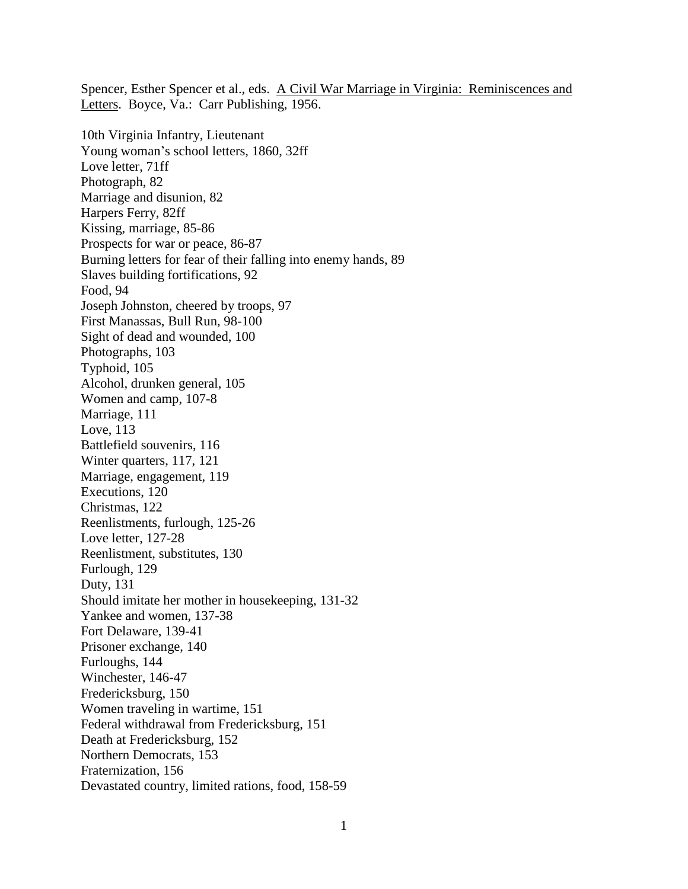Spencer, Esther Spencer et al., eds. A Civil War Marriage in Virginia: Reminiscences and Letters. Boyce, Va.: Carr Publishing, 1956.

10th Virginia Infantry, Lieutenant Young woman's school letters, 1860, 32ff Love letter, 71ff Photograph, 82 Marriage and disunion, 82 Harpers Ferry, 82ff Kissing, marriage, 85-86 Prospects for war or peace, 86-87 Burning letters for fear of their falling into enemy hands, 89 Slaves building fortifications, 92 Food, 94 Joseph Johnston, cheered by troops, 97 First Manassas, Bull Run, 98-100 Sight of dead and wounded, 100 Photographs, 103 Typhoid, 105 Alcohol, drunken general, 105 Women and camp, 107-8 Marriage, 111 Love, 113 Battlefield souvenirs, 116 Winter quarters, 117, 121 Marriage, engagement, 119 Executions, 120 Christmas, 122 Reenlistments, furlough, 125-26 Love letter, 127-28 Reenlistment, substitutes, 130 Furlough, 129 Duty, 131 Should imitate her mother in housekeeping, 131-32 Yankee and women, 137-38 Fort Delaware, 139-41 Prisoner exchange, 140 Furloughs, 144 Winchester, 146-47 Fredericksburg, 150 Women traveling in wartime, 151 Federal withdrawal from Fredericksburg, 151 Death at Fredericksburg, 152 Northern Democrats, 153 Fraternization, 156 Devastated country, limited rations, food, 158-59